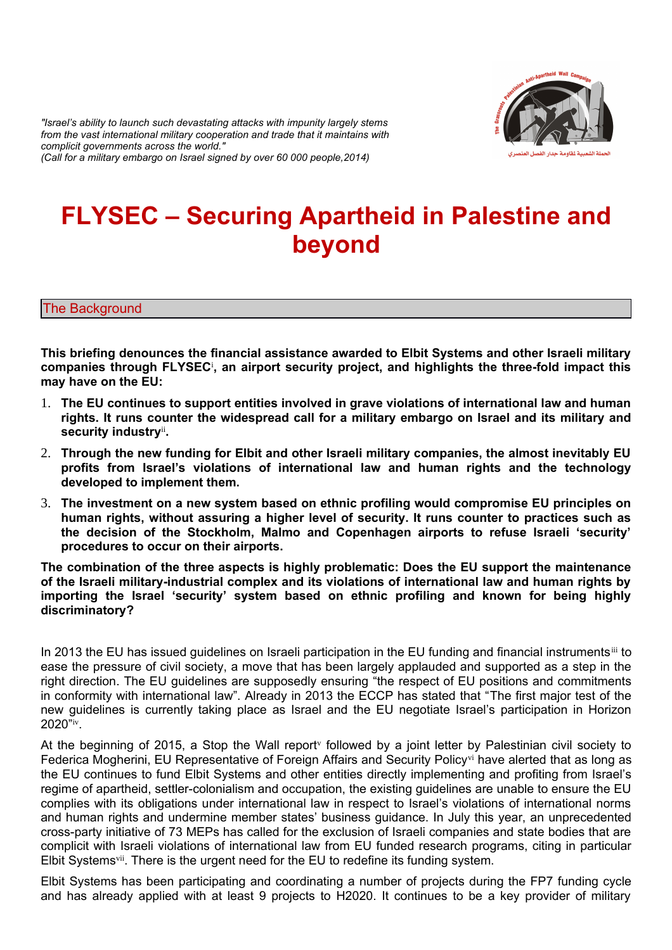*"Israel's ability to launch such devastating attacks with impunity largely stems from the vast international military cooperation and trade that it maintains with complicit governments across the world." (Call for a military embargo on Israel signed by over 60 000 people,2014)* 



# **FLYSEC – Securing Apartheid in Palestine and beyond**

# The Background

**This briefing denounces the financial assistance awarded to Elbit Systems and other Israeli military companies through FLYSEC**[i](#page-4-0) **, an airport security project, and highlights the three-fold impact this may have on the EU:** 

- 1. **The EU continues to support entities involved in grave violations of international law and human rights. It runs counter the widespread call for a military embargo on Israel and its military and security industry**[ii](#page-4-1) **.**
- 2. **Through the new funding for Elbit and other Israeli military companies, the almost inevitably EU profits from Israel's violations of international law and human rights and the technology developed to implement them.**
- 3. **The investment on a new system based on ethnic profiling would compromise EU principles on human rights, without assuring a higher level of security. It runs counter to practices such as the decision of the Stockholm, Malmo and Copenhagen airports to refuse Israeli 'security' procedures to occur on their airports.**

**The combination of the three aspects is highly problematic: Does the EU support the maintenance of the Israeli military-industrial complex and its violations of international law and human rights by importing the Israel 'security' system based on ethnic profiling and known for being highly discriminatory?** 

In 2013 the EU has issued quidelines on Israeli participation in the EU funding and financial instrumentsii to ease the pressure of civil society, a move that has been largely applauded and supported as a step in the right direction. The EU guidelines are supposedly ensuring "the respect of EU positions and commitments in conformity with international law". Already in 2013 the ECCP has stated that "The first major test of the new guidelines is currently taking place as Israel and the EU negotiate Israel's participation in Horizon 2020"[iv](#page-4-3) .

At the beginning of 2015, a Stop the Wall report<sup>[v](#page-4-4)</sup> followed by a joint letter by Palestinian civil society to Federica Mogherini, EU Representative of Foreign Affairs and Security Policy<sup>[vi](#page-4-5)</sup> have alerted that as long as the EU continues to fund Elbit Systems and other entities directly implementing and profiting from Israel's regime of apartheid, settler-colonialism and occupation, the existing guidelines are unable to ensure the EU complies with its obligations under international law in respect to Israel's violations of international norms and human rights and undermine member states' business guidance. In July this year, an unprecedented cross-party initiative of 73 MEPs has called for the exclusion of Israeli companies and state bodies that are complicit with Israeli violations of international law from EU funded research programs, citing in particular Elbit Systems[vii](#page-4-6). There is the urgent need for the EU to redefine its funding system.

Elbit Systems has been participating and coordinating a number of projects during the FP7 funding cycle and has already applied with at least 9 projects to H2020. It continues to be a key provider of military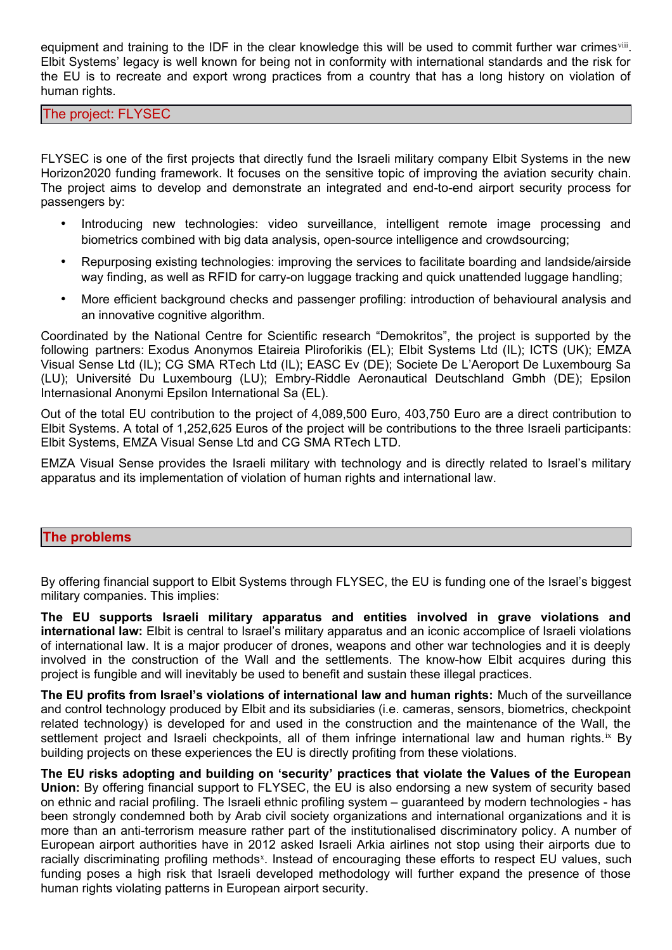equipment and training to the IDF in the clear knowledge this will be used to commit further war crimes iii. Elbit Systems' legacy is well known for being not in conformity with international standards and the risk for the EU is to recreate and export wrong practices from a country that has a long history on violation of human rights.

The project: FLYSEC

FLYSEC is one of the first projects that directly fund the Israeli military company Elbit Systems in the new Horizon2020 funding framework. It focuses on the sensitive topic of improving the aviation security chain. The project aims to develop and demonstrate an integrated and end-to-end airport security process for passengers by:

- Introducing new technologies: video surveillance, intelligent remote image processing and biometrics combined with big data analysis, open-source intelligence and crowdsourcing;
- Repurposing existing technologies: improving the services to facilitate boarding and landside/airside way finding, as well as RFID for carry-on luggage tracking and quick unattended luggage handling;
- More efficient background checks and passenger profiling: introduction of behavioural analysis and an innovative cognitive algorithm.

Coordinated by the National Centre for Scientific research "Demokritos", the project is supported by the following partners: Exodus Anonymos Etaireia Pliroforikis (EL); Elbit Systems Ltd (IL); ICTS (UK); EMZA Visual Sense Ltd (IL); CG SMA RTech Ltd (IL); EASC Ev (DE); Societe De L'Aeroport De Luxembourg Sa (LU); Université Du Luxembourg (LU); Embry-Riddle Aeronautical Deutschland Gmbh (DE); Epsilon Internasional Anonymi Epsilon International Sa (EL).

Out of the total EU contribution to the project of 4,089,500 Euro, 403,750 Euro are a direct contribution to Elbit Systems. A total of 1,252,625 Euros of the project will be contributions to the three Israeli participants: Elbit Systems, EMZA Visual Sense Ltd and CG SMA RTech LTD.

EMZA Visual Sense provides the Israeli military with technology and is directly related to Israel's military apparatus and its implementation of violation of human rights and international law.

# **The problems**

By offering financial support to Elbit Systems through FLYSEC, the EU is funding one of the Israel's biggest military companies. This implies:

**The EU supports Israeli military apparatus and entities involved in grave violations and international law:** Elbit is central to Israel's military apparatus and an iconic accomplice of Israeli violations of international law. It is a major producer of drones, weapons and other war technologies and it is deeply involved in the construction of the Wall and the settlements. The know-how Elbit acquires during this project is fungible and will inevitably be used to benefit and sustain these illegal practices.

**The EU profits from Israel's violations of international law and human rights:** Much of the surveillance and control technology produced by Elbit and its subsidiaries (i.e. cameras, sensors, biometrics, checkpoint related technology) is developed for and used in the construction and the maintenance of the Wall, the settlement project and Israeli checkpoints, all of them infringe international law and human rights.<sup>[ix](#page-4-8)</sup> By building projects on these experiences the EU is directly profiting from these violations.

**The EU risks adopting and building on 'security' practices that violate the Values of the European Union:** By offering financial support to FLYSEC, the EU is also endorsing a new system of security based on ethnic and racial profiling. The Israeli ethnic profiling system – guaranteed by modern technologies - has been strongly condemned both by Arab civil society organizations and international organizations and it is more than an anti-terrorism measure rather part of the institutionalised discriminatory policy. A number of European airport authorities have in 2012 asked Israeli Arkia airlines not stop using their airports due to racially discriminating profiling methods<sup>[x](#page-4-9)</sup>. Instead of encouraging these efforts to respect EU values, such funding poses a high risk that Israeli developed methodology will further expand the presence of those human rights violating patterns in European airport security.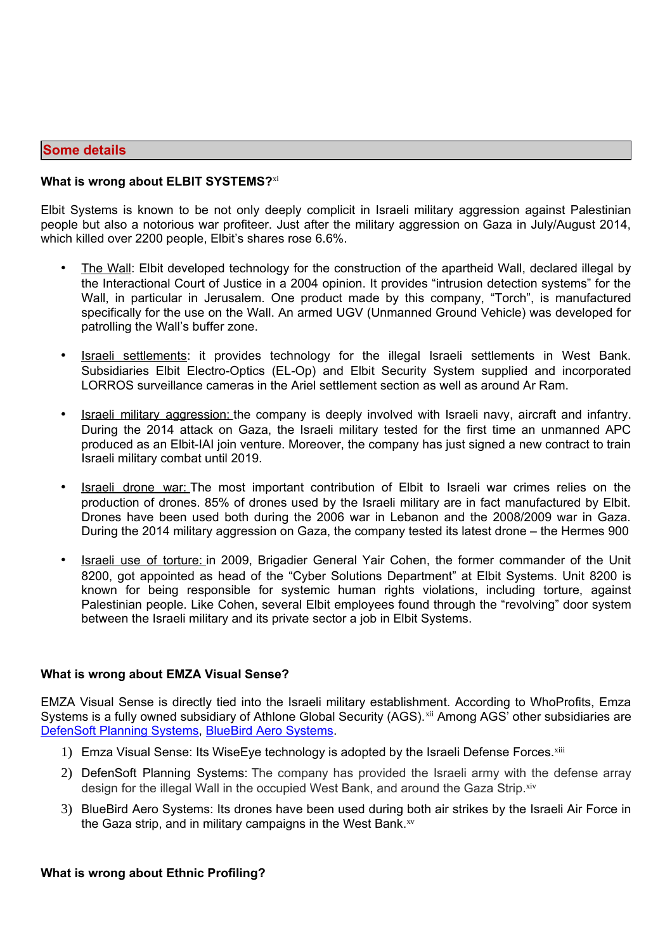# **Some details**

# **What is wrong about ELBIT SYSTEMS?**[xi](#page-4-10)

Elbit Systems is known to be not only deeply complicit in Israeli military aggression against Palestinian people but also a notorious war profiteer. Just after the military aggression on Gaza in July/August 2014, which killed over 2200 people, Elbit's shares rose 6.6%.

- The Wall: Elbit developed technology for the construction of the apartheid Wall, declared illegal by the Interactional Court of Justice in a 2004 opinion. It provides "intrusion detection systems" for the Wall, in particular in Jerusalem. One product made by this company, "Torch", is manufactured specifically for the use on the Wall. An armed UGV (Unmanned Ground Vehicle) was developed for patrolling the Wall's buffer zone.
- **Israeli settlements:** it provides technology for the illegal Israeli settlements in West Bank. Subsidiaries Elbit Electro-Optics (EL-Op) and Elbit Security System supplied and incorporated LORROS surveillance cameras in the Ariel settlement section as well as around Ar Ram.
- Israeli military aggression: the company is deeply involved with Israeli navy, aircraft and infantry. During the 2014 attack on Gaza, the Israeli military tested for the first time an unmanned APC produced as an Elbit-IAI join venture. Moreover, the company has just signed a new contract to train Israeli military combat until 2019.
- **Israeli drone war:** The most important contribution of Elbit to Israeli war crimes relies on the production of drones. 85% of drones used by the Israeli military are in fact manufactured by Elbit. Drones have been used both during the 2006 war in Lebanon and the 2008/2009 war in Gaza. During the 2014 military aggression on Gaza, the company tested its latest drone – the Hermes 900
- Israeli use of torture: in 2009, Brigadier General Yair Cohen, the former commander of the Unit 8200, got appointed as head of the "Cyber Solutions Department" at Elbit Systems. Unit 8200 is known for being responsible for systemic human rights violations, including torture, against Palestinian people. Like Cohen, several Elbit employees found through the "revolving" door system between the Israeli military and its private sector a job in Elbit Systems.

# **What is wrong about EMZA Visual Sense?**

EMZA Visual Sense is directly tied into the Israeli military establishment. According to WhoProfits, Emza Systems is a fully owned subsidiary of Athlone Global Security (AGS).<sup>[xii](#page-4-11)</sup> Among AGS' other subsidiaries are [DefenSoft Planning Systems,](http://www.whoprofits.org/Company%20Info.php?id=553) [BlueBird Aero Systems.](http://www.whoprofits.org/Company%20Info.php?id=600)

- 1) Emza Visual Sense: Its WiseEye technology is adopted by the Israeli Defense Forces.<sup>[xiii](#page-4-12)</sup>
- 2) DefenSoft Planning Systems: The company has provided the Israeli army with the defense array design for the illegal Wall in the occupied West Bank, and around the Gaza Strip.[xiv](#page-4-13)
- 3) BlueBird Aero Systems: Its drones have been used during both air strikes by the Israeli Air Force in the Gaza strip, and in military campaigns in the West Bank.<sup>[xv](#page-4-14)</sup>

#### **What is wrong about Ethnic Profiling?**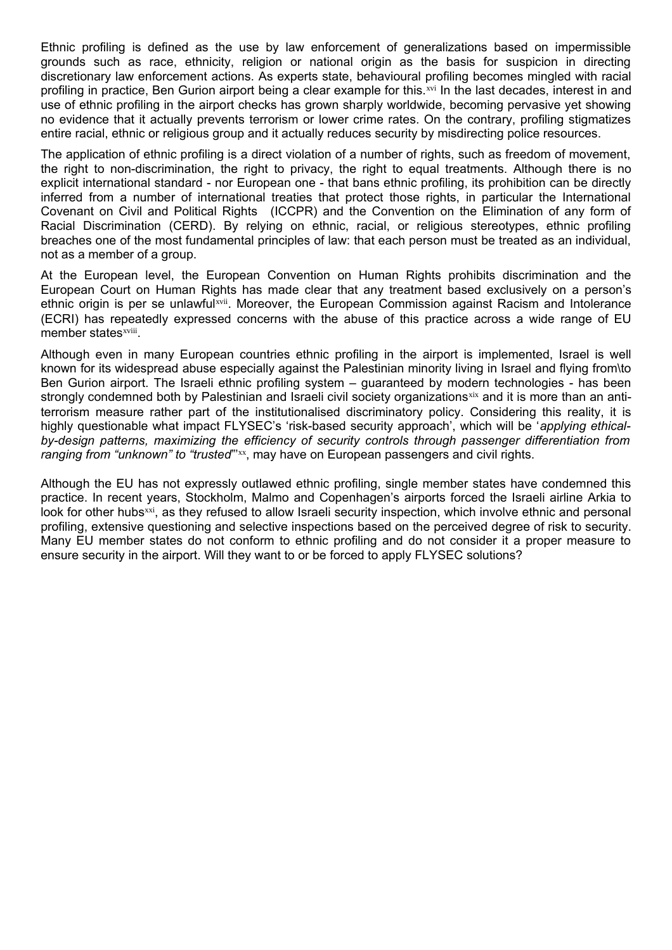Ethnic profiling is defined as the use by law enforcement of generalizations based on impermissible grounds such as race, ethnicity, religion or national origin as the basis for suspicion in directing discretionary law enforcement actions. As experts state, behavioural profiling becomes mingled with racial profiling in practice, Ben Gurion airport being a clear example for this.[xvi](#page-4-15) In the last decades, interest in and use of ethnic profiling in the airport checks has grown sharply worldwide, becoming pervasive yet showing no evidence that it actually prevents terrorism or lower crime rates. On the contrary, profiling stigmatizes entire racial, ethnic or religious group and it actually reduces security by misdirecting police resources.

The application of ethnic profiling is a direct violation of a number of rights, such as freedom of movement, the right to non-discrimination, the right to privacy, the right to equal treatments. Although there is no explicit international standard - nor European one - that bans ethnic profiling, its prohibition can be directly inferred from a number of international treaties that protect those rights, in particular the International Covenant on Civil and Political Rights (ICCPR) and the Convention on the Elimination of any form of Racial Discrimination (CERD). By relying on ethnic, racial, or religious stereotypes, ethnic profiling breaches one of the most fundamental principles of law: that each person must be treated as an individual, not as a member of a group.

At the European level, the European Convention on Human Rights prohibits discrimination and the European Court on Human Rights has made clear that any treatment based exclusively on a person's ethnic origin is per se unlawful[xvii](#page-4-16). Moreover, the European Commission against Racism and Intolerance (ECRI) has repeatedly expressed concerns with the abuse of this practice across a wide range of EU member states<sup>[xviii](#page-4-17)</sup>.

Although even in many European countries ethnic profiling in the airport is implemented, Israel is well known for its widespread abuse especially against the Palestinian minority living in Israel and flying from\to Ben Gurion airport. The Israeli ethnic profiling system – guaranteed by modern technologies - has been strongly condemned both by Palestinian and Israeli civil society organizations[xix](#page-4-18) and it is more than an antiterrorism measure rather part of the institutionalised discriminatory policy. Considering this reality, it is highly questionable what impact FLYSEC's 'risk-based security approach', which will be '*applying ethicalby-design patterns, maximizing the efficiency of security controls through passenger differentiation from* ranging from "unknown" to "trusted"<sup>"[xx](#page-4-19)</sup>, may have on European passengers and civil rights.

Although the EU has not expressly outlawed ethnic profiling, single member states have condemned this practice. In recent years, Stockholm, Malmo and Copenhagen's airports forced the Israeli airline Arkia to look for other hubs[xxi](#page-4-20), as they refused to allow Israeli security inspection, which involve ethnic and personal profiling, extensive questioning and selective inspections based on the perceived degree of risk to security. Many EU member states do not conform to ethnic profiling and do not consider it a proper measure to ensure security in the airport. Will they want to or be forced to apply FLYSEC solutions?